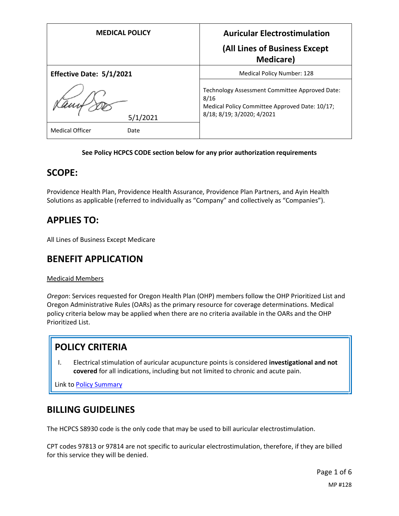| <b>MEDICAL POLICY</b>          | <b>Auricular Electrostimulation</b>                                                                                                    |
|--------------------------------|----------------------------------------------------------------------------------------------------------------------------------------|
|                                | (All Lines of Business Except<br><b>Medicare</b> )                                                                                     |
| Effective Date: 5/1/2021       | <b>Medical Policy Number: 128</b>                                                                                                      |
| 5/1/2021                       | Technology Assessment Committee Approved Date:<br>8/16<br>Medical Policy Committee Approved Date: 10/17;<br>8/18; 8/19; 3/2020; 4/2021 |
| <b>Medical Officer</b><br>Date |                                                                                                                                        |

#### **See Policy HCPCS CODE section below for any prior authorization requirements**

### **SCOPE:**

Providence Health Plan, Providence Health Assurance, Providence Plan Partners, and Ayin Health Solutions as applicable (referred to individually as "Company" and collectively as "Companies").

## **APPLIES TO:**

All Lines of Business Except Medicare

### **BENEFIT APPLICATION**

#### Medicaid Members

*Oregon*: Services requested for Oregon Health Plan (OHP) members follow the OHP Prioritized List and Oregon Administrative Rules (OARs) as the primary resource for coverage determinations. Medical policy criteria below may be applied when there are no criteria available in the OARs and the OHP Prioritized List.

# **POLICY CRITERIA**

I. Electrical stimulation of auricular acupuncture points is considered **investigational and not covered** for all indications, including but not limited to chronic and acute pain.

Link t[o Policy Summary](#page-3-0)

### **BILLING GUIDELINES**

The HCPCS S8930 code is the only code that may be used to bill auricular electrostimulation.

CPT codes 97813 or 97814 are not specific to auricular electrostimulation, therefore, if they are billed for this service they will be denied.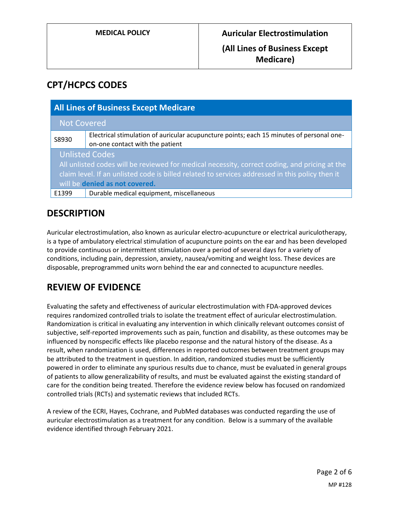# **CPT/HCPCS CODES**

| <b>All Lines of Business Except Medicare</b>                                                                                                                                                                                                                |                                                                                                                             |
|-------------------------------------------------------------------------------------------------------------------------------------------------------------------------------------------------------------------------------------------------------------|-----------------------------------------------------------------------------------------------------------------------------|
| <b>Not Covered</b>                                                                                                                                                                                                                                          |                                                                                                                             |
| S8930                                                                                                                                                                                                                                                       | Electrical stimulation of auricular acupuncture points; each 15 minutes of personal one-<br>on-one contact with the patient |
| <b>Unlisted Codes</b><br>All unlisted codes will be reviewed for medical necessity, correct coding, and pricing at the<br>claim level. If an unlisted code is billed related to services addressed in this policy then it<br>will be denied as not covered. |                                                                                                                             |
| E1399                                                                                                                                                                                                                                                       | Durable medical equipment, miscellaneous                                                                                    |

## **DESCRIPTION**

Auricular electrostimulation, also known as auricular electro-acupuncture or electrical auriculotherapy, is a type of ambulatory electrical stimulation of acupuncture points on the ear and has been developed to provide continuous or intermittent stimulation over a period of several days for a variety of conditions, including pain, depression, anxiety, nausea/vomiting and weight loss. These devices are disposable, preprogrammed units worn behind the ear and connected to acupuncture needles.

## **REVIEW OF EVIDENCE**

Evaluating the safety and effectiveness of auricular electrostimulation with FDA-approved devices requires randomized controlled trials to isolate the treatment effect of auricular electrostimulation. Randomization is critical in evaluating any intervention in which clinically relevant outcomes consist of subjective, self-reported improvements such as pain, function and disability, as these outcomes may be influenced by nonspecific effects like placebo response and the natural history of the disease. As a result, when randomization is used, differences in reported outcomes between treatment groups may be attributed to the treatment in question. In addition, randomized studies must be sufficiently powered in order to eliminate any spurious results due to chance, must be evaluated in general groups of patients to allow generalizability of results, and must be evaluated against the existing standard of care for the condition being treated. Therefore the evidence review below has focused on randomized controlled trials (RCTs) and systematic reviews that included RCTs.

A review of the ECRI, Hayes, Cochrane, and PubMed databases was conducted regarding the use of auricular electrostimulation as a treatment for any condition. Below is a summary of the available evidence identified through February 2021.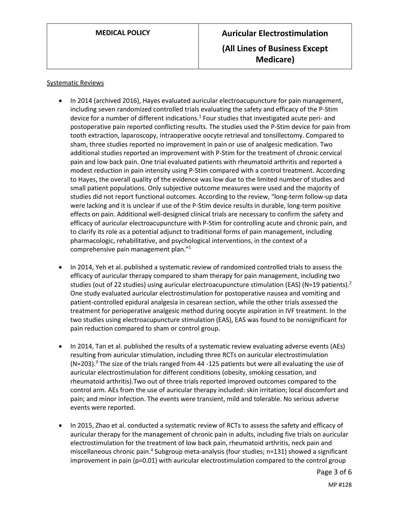#### Systematic Reviews

- In 2014 (archived 2016), Hayes evaluated auricular electroacupuncture for pain management, including seven randomized controlled trials evaluating the safety and efficacy of the P-Stim device for a number of different indications.<sup>1</sup> Four studies that investigated acute peri- and postoperative pain reported conflicting results. The studies used the P-Stim device for pain from tooth extraction, laparoscopy, intraoperative oocyte retrieval and tonsillectomy. Compared to sham, three studies reported no improvement in pain or use of analgesic medication. Two additional studies reported an improvement with P-Stim for the treatment of chronic cervical pain and low back pain. One trial evaluated patients with rheumatoid arthritis and reported a modest reduction in pain intensity using P-Stim compared with a control treatment. According to Hayes, the overall quality of the evidence was low due to the limited number of studies and small patient populations. Only subjective outcome measures were used and the majority of studies did not report functional outcomes. According to the review, "long-term follow-up data were lacking and it is unclear if use of the P-Stim device results in durable, long-term positive effects on pain. Additional well-designed clinical trials are necessary to confirm the safety and efficacy of auricular electroacupuncture with P-Stim for controlling acute and chronic pain, and to clarify its role as a potential adjunct to traditional forms of pain management, including pharmacologic, rehabilitative, and psychological interventions, in the context of a comprehensive pain management plan."<sup>1</sup>
- In 2014, Yeh et al. published a systematic review of randomized controlled trials to assess the efficacy of auricular therapy compared to sham therapy for pain management, including two studies (out of 22 studies) using auricular electroacupuncture stimulation (EAS) (N=19 patients).<sup>2</sup> One study evaluated auricular electrostimulation for postoperative nausea and vomiting and patient-controlled epidural analgesia in cesarean section, while the other trials assessed the treatment for perioperative analgesic method during oocyte aspiration in IVF treatment. In the two studies using electroacupuncture stimulation (EAS), EAS was found to be nonsignificant for pain reduction compared to sham or control group.
- In 2014, Tan et al. published the results of a systematic review evaluating adverse events (AEs) resulting from auricular stimulation, including three RCTs on auricular electrostimulation  $(N=203).$ <sup>3</sup> The size of the trials ranged from 44 -125 patients but were all evaluating the use of auricular electrostimulation for different conditions (obesity, smoking cessation, and rheumatoid arthritis).Two out of three trials reported improved outcomes compared to the control arm. AEs from the use of auricular therapy included: skin irritation; local discomfort and pain; and minor infection. The events were transient, mild and tolerable. No serious adverse events were reported.
- In 2015, Zhao et al. conducted a systematic review of RCTs to assess the safety and efficacy of auricular therapy for the management of chronic pain in adults, including five trials on auricular electrostimulation for the treatment of low back pain, rheumatoid arthritis, neck pain and miscellaneous chronic pain.<sup>4</sup> Subgroup meta-analysis (four studies; n=131) showed a significant improvement in pain (p=0.01) with auricular electrostimulation compared to the control group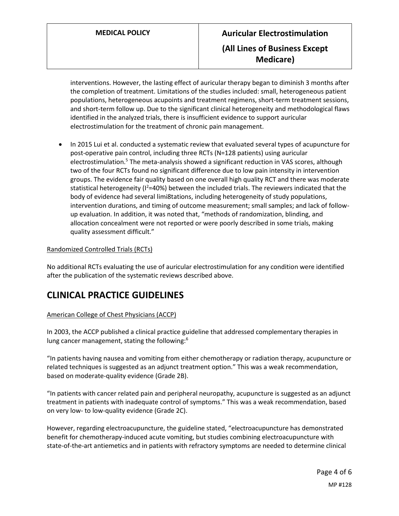interventions. However, the lasting effect of auricular therapy began to diminish 3 months after the completion of treatment. Limitations of the studies included: small, heterogeneous patient populations, heterogeneous acupoints and treatment regimens, short-term treatment sessions, and short-term follow up. Due to the significant clinical heterogeneity and methodological flaws identified in the analyzed trials, there is insufficient evidence to support auricular electrostimulation for the treatment of chronic pain management.

 In 2015 Lui et al. conducted a systematic review that evaluated several types of acupuncture for post-operative pain control, including three RCTs (N=128 patients) using auricular electrostimulation.<sup>5</sup> The meta-analysis showed a significant reduction in VAS scores, although two of the four RCTs found no significant difference due to low pain intensity in intervention groups. The evidence fair quality based on one overall high quality RCT and there was moderate statistical heterogeneity ( $I^2=40\%$ ) between the included trials. The reviewers indicated that the body of evidence had several limi8tations, including heterogeneity of study populations, intervention durations, and timing of outcome measurement; small samples; and lack of followup evaluation. In addition, it was noted that, "methods of randomization, blinding, and allocation concealment were not reported or were poorly described in some trials, making quality assessment difficult."

#### Randomized Controlled Trials (RCTs)

No additional RCTs evaluating the use of auricular electrostimulation for any condition were identified after the publication of the systematic reviews described above.

### **CLINICAL PRACTICE GUIDELINES**

#### <span id="page-3-0"></span>American College of Chest Physicians (ACCP)

In 2003, the ACCP published a clinical practice guideline that addressed complementary therapies in lung cancer management, stating the following:<sup>6</sup>

"In patients having nausea and vomiting from either chemotherapy or radiation therapy, acupuncture or related techniques is suggested as an adjunct treatment option." This was a weak recommendation, based on moderate-quality evidence (Grade 2B).

"In patients with cancer related pain and peripheral neuropathy, acupuncture is suggested as an adjunct treatment in patients with inadequate control of symptoms." This was a weak recommendation, based on very low- to low-quality evidence (Grade 2C).

However, regarding electroacupuncture, the guideline stated, "electroacupuncture has demonstrated benefit for chemotherapy-induced acute vomiting, but studies combining electroacupuncture with state-of-the-art antiemetics and in patients with refractory symptoms are needed to determine clinical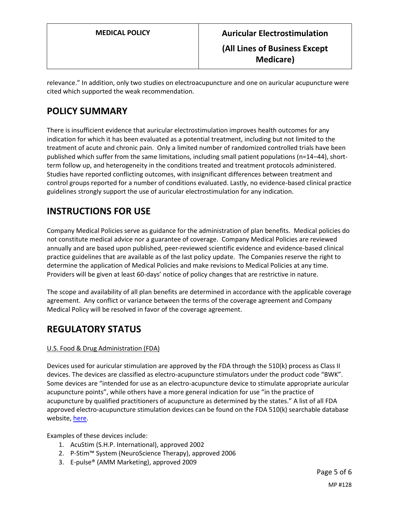relevance." In addition, only two studies on electroacupuncture and one on auricular acupuncture were cited which supported the weak recommendation.

# **POLICY SUMMARY**

There is insufficient evidence that auricular electrostimulation improves health outcomes for any indication for which it has been evaluated as a potential treatment, including but not limited to the treatment of acute and chronic pain. Only a limited number of randomized controlled trials have been published which suffer from the same limitations, including small patient populations (n=14–44), shortterm follow up, and heterogeneity in the conditions treated and treatment protocols administered. Studies have reported conflicting outcomes, with insignificant differences between treatment and control groups reported for a number of conditions evaluated. Lastly, no evidence-based clinical practice guidelines strongly support the use of auricular electrostimulation for any indication.

# **INSTRUCTIONS FOR USE**

Company Medical Policies serve as guidance for the administration of plan benefits. Medical policies do not constitute medical advice nor a guarantee of coverage. Company Medical Policies are reviewed annually and are based upon published, peer-reviewed scientific evidence and evidence-based clinical practice guidelines that are available as of the last policy update. The Companies reserve the right to determine the application of Medical Policies and make revisions to Medical Policies at any time. Providers will be given at least 60-days' notice of policy changes that are restrictive in nature.

The scope and availability of all plan benefits are determined in accordance with the applicable coverage agreement. Any conflict or variance between the terms of the coverage agreement and Company Medical Policy will be resolved in favor of the coverage agreement.

# **REGULATORY STATUS**

#### U.S. Food & Drug Administration (FDA)

Devices used for auricular stimulation are approved by the FDA through the 510(k) process as Class II devices. The devices are classified as electro-acupuncture stimulators under the product code "BWK". Some devices are "intended for use as an electro-acupuncture device to stimulate appropriate auricular acupuncture points", while others have a more general indication for use "in the practice of acupuncture by qualified practitioners of acupuncture as determined by the states." A list of all FDA approved electro-acupuncture stimulation devices can be found on the FDA 510(k) searchable database website, [here.](https://www.accessdata.fda.gov/scripts/cdrh/cfdocs/cfPMN/pmn.cfm)

Examples of these devices include:

- 1. AcuStim (S.H.P. International), approved 2002
- 2. P-Stim™ System (NeuroScience Therapy), approved 2006
- 3. E-pulse® (AMM Marketing), approved 2009